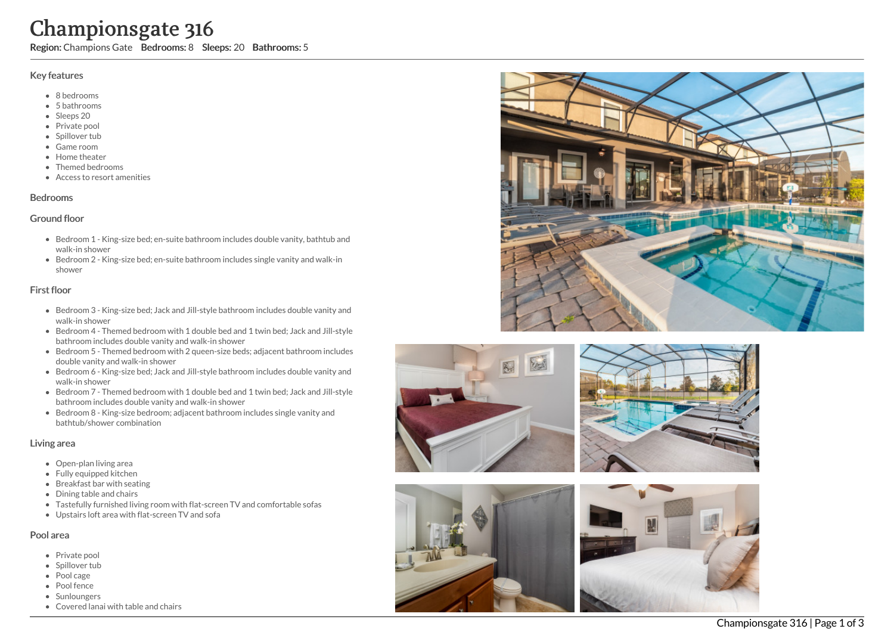# Championsgate 316

Region: Champions Gate Bedrooms: 8 Sleeps: 20 Bathrooms: 5

### Key features

- 8 b e d r o o m s
- 5 b a t h r o o m s
- Sleeps 20
- Private pool
- Spillover tub
- Game room
- Home theate r
- Themed bedrooms
- Access to resort amenities

## **Bedrooms**

## Ground floor

- Bedroom 1 King-size bed; en-suite bathroom includes double vanity, bathtub and walk-in shower
- Bedroom 2 King-size bed; en-suite bathroom includes single vanity and walk-in s h o w e r

# First floor

- Bedroom 3 King-size bed; Jack and Jill-style bathroom includes double vanity and walk-in shower
- Bedroom 4 Themed bedroom with 1 double bed and 1 twin bed; Jack and Jill-style bathroom includes double vanity and walk-in shower
- Bedroom 5 Themed bedroom with 2 queen-size beds; adjacent bathroom includes d o u ble v a nit y a n d w alk -in s h o w e r
- Bedroom 6 King-size bed; Jack and Jill-style bathroom includes double vanity and walk-in shower
- Bedroom 7 Themed bedroom with 1 double bed and 1 twin bed; Jack and Jill-style bathroom includes double vanity and walk-in shower
- Bedroom 8 King-size bedroom; adjacent bathroom includes single vanity and bathtub/shower combination

# Living area

- Open-plan living area
- Fully equipped kitchen
- Breakfast bar with seating
- Dining table and chairs
- Tastefully furnished living room with flat-screen TV and comfortable sofas
- Upstairs loft area with flat-screen TV and sofa

# Pool area

- Private pool
- Spillover tub
- Pool cage
- Pool fence
- Sunloungers
- Covered lanai with table and chairs









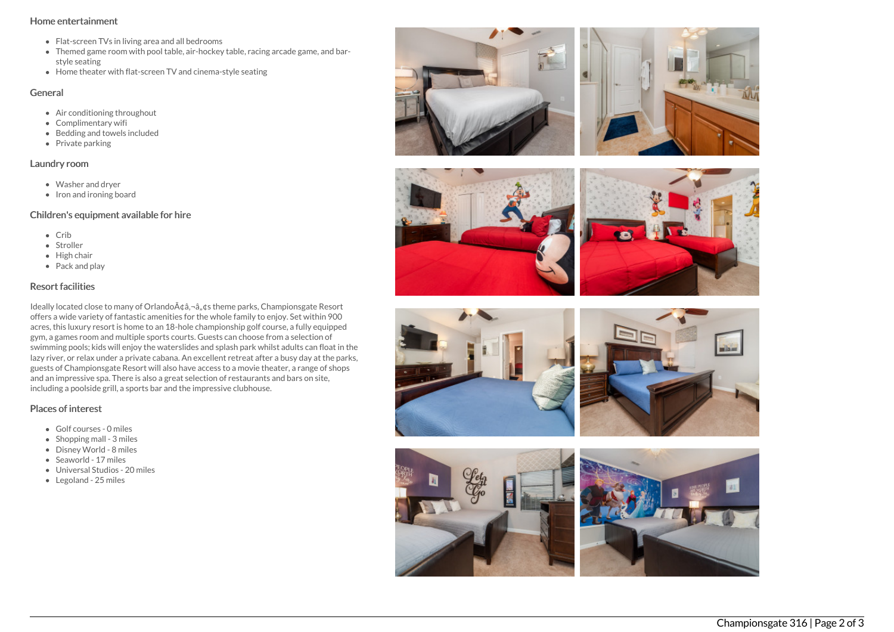#### Home entertainment

- Flat-screen TVs in living area and all bedrooms
- Themed game room with pool table, air-hockey table, racing arcade game, and barstyle seating
- $\bullet$  Home theater with flat-screen TV and cinema-style seating

#### General

- Air conditioning throughout
- Complimentary wifi
- Bedding and towels included
- Private parking

## Laundry room

- Washer and dryer
- Iron and ironing board

# Children's equipment available for hire

- $\bullet$  Crib
- Stroller
- $\bullet$  High chair
- Pack and play

# Resort facilities

Ideally located close to many of Orlando A¢â,¬â, ¢s theme parks, Championsgate Resort offers a wide variety of fantastic amenities for the whole family to enjoy. Set within 900 acres, this luxury resort is home to an 18-hole championship golf course, a fully equipped gym, a games room and multiple sports courts. Guests can choose from a selection of swimming pools; kids will enjoy the waterslides and splash park whilst adults can float in the lazy river, or relax under a private cabana. An excellent retreat after a busy day at the parks, guests of Championsgate Resort will also have access to a movie theater, a range of shops and an impressive spa. There is also a great selection of restaurants and bars on site, including a poolside grill, a sports bar and the impressive clubhouse.

# Places of interest

- Golf courses 0 miles
- $\bullet$  Shopping mall 3 miles
- Disney World 8 miles
- Seaworld 17 miles
- Universal Studios 20 miles
- Legoland 25 miles